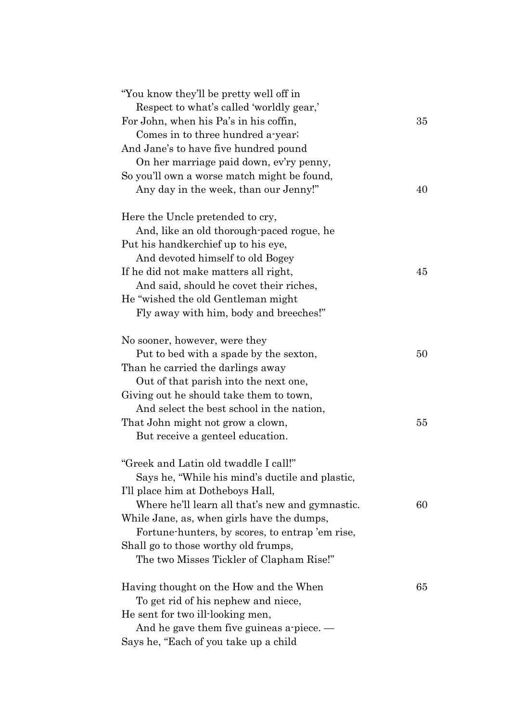| "You know they'll be pretty well off in<br>Respect to what's called 'worldly gear,' |    |
|-------------------------------------------------------------------------------------|----|
| For John, when his Pa's in his coffin,                                              | 35 |
| Comes in to three hundred a-year;                                                   |    |
| And Jane's to have five hundred pound                                               |    |
| On her marriage paid down, ev'ry penny,                                             |    |
| So you'll own a worse match might be found,                                         |    |
| Any day in the week, than our Jenny!"                                               | 40 |
|                                                                                     |    |
| Here the Uncle pretended to cry,                                                    |    |
| And, like an old thorough-paced rogue, he                                           |    |
| Put his handkerchief up to his eye,                                                 |    |
| And devoted himself to old Bogey                                                    |    |
| If he did not make matters all right,                                               | 45 |
| And said, should he covet their riches,                                             |    |
| He "wished the old Gentleman might"                                                 |    |
| Fly away with him, body and breeches!"                                              |    |
|                                                                                     |    |
| No sooner, however, were they                                                       |    |
| Put to bed with a spade by the sexton,                                              | 50 |
| Than he carried the darlings away                                                   |    |
| Out of that parish into the next one,                                               |    |
| Giving out he should take them to town,                                             |    |
| And select the best school in the nation,                                           |    |
| That John might not grow a clown,                                                   | 55 |
| But receive a genteel education.                                                    |    |
| "Greek and Latin old twaddle I call!"                                               |    |
| Says he, "While his mind's ductile and plastic,                                     |    |
| I'll place him at Dotheboys Hall,                                                   |    |
| Where he'll learn all that's new and gymnastic.                                     | 60 |
| While Jane, as, when girls have the dumps,                                          |    |
| Fortune-hunters, by scores, to entrap 'em rise,                                     |    |
| Shall go to those worthy old frumps,                                                |    |
|                                                                                     |    |
| The two Misses Tickler of Clapham Rise!"                                            |    |
| Having thought on the How and the When                                              | 65 |
| To get rid of his nephew and niece,                                                 |    |
| He sent for two ill-looking men,                                                    |    |
| And he gave them five guineas a piece. $-$                                          |    |
| Says he, "Each of you take up a child                                               |    |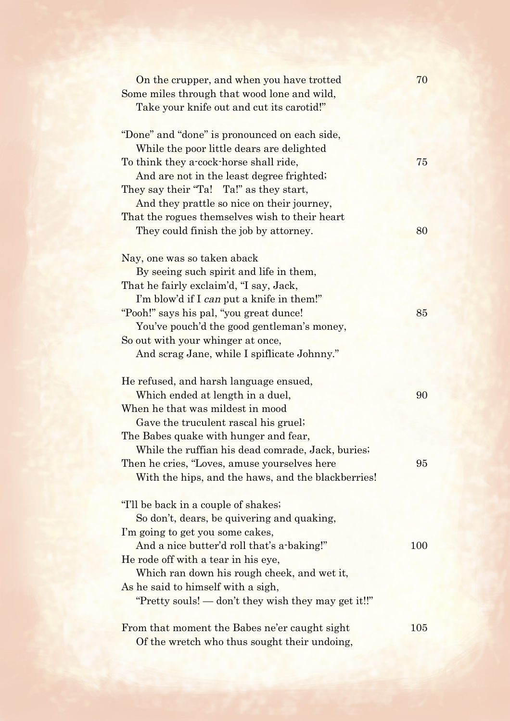| On the crupper, and when you have trotted<br>Some miles through that wood lone and wild,<br>Take your knife out and cut its carotid!"                                                                                                                                                                                                                   | 70  |
|---------------------------------------------------------------------------------------------------------------------------------------------------------------------------------------------------------------------------------------------------------------------------------------------------------------------------------------------------------|-----|
| "Done" and "done" is pronounced on each side,<br>While the poor little dears are delighted<br>To think they a-cock-horse shall ride,<br>And are not in the least degree frighted;<br>They say their "Ta! Ta!" as they start,<br>And they prattle so nice on their journey,                                                                              | 75  |
| That the rogues themselves wish to their heart<br>They could finish the job by attorney.                                                                                                                                                                                                                                                                | 80  |
| Nay, one was so taken aback                                                                                                                                                                                                                                                                                                                             |     |
| By seeing such spirit and life in them,<br>That he fairly exclaim'd, "I say, Jack,<br>I'm blow'd if I can put a knife in them!"<br>"Pooh!" says his pal, "you great dunce!<br>You've pouch'd the good gentleman's money,<br>So out with your whinger at once,<br>And scrag Jane, while I spiflicate Johnny."                                            | 85  |
| He refused, and harsh language ensued,<br>Which ended at length in a duel,<br>When he that was mildest in mood<br>Gave the truculent rascal his gruel;                                                                                                                                                                                                  | 90  |
| The Babes quake with hunger and fear,<br>While the ruffian his dead comrade, Jack, buries;<br>Then he cries, "Loves, amuse yourselves here<br>With the hips, and the haws, and the blackberries!                                                                                                                                                        | 95  |
| "I'll be back in a couple of shakes;<br>So don't, dears, be quivering and quaking,<br>I'm going to get you some cakes,<br>And a nice butter'd roll that's a-baking!"<br>He rode off with a tear in his eye,<br>Which ran down his rough cheek, and wet it,<br>As he said to himself with a sigh,<br>"Pretty souls! — don't they wish they may get it!!" | 100 |
| From that moment the Babes ne'er caught sight<br>Of the wretch who thus sought their undoing,                                                                                                                                                                                                                                                           | 105 |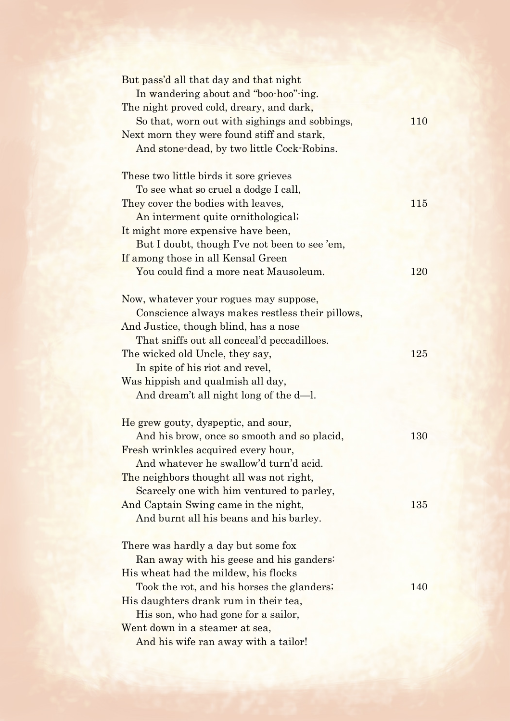| But pass'd all that day and that night          |     |
|-------------------------------------------------|-----|
| In wandering about and "boo-hoo"-ing.           |     |
| The night proved cold, dreary, and dark,        |     |
| So that, worn out with sighings and sobbings,   | 110 |
| Next morn they were found stiff and stark,      |     |
| And stone-dead, by two little Cock-Robins.      |     |
| These two little birds it sore grieves          |     |
| To see what so cruel a dodge I call,            |     |
| They cover the bodies with leaves,              | 115 |
| An interment quite ornithological;              |     |
| It might more expensive have been,              |     |
| But I doubt, though I've not been to see 'em,   |     |
| If among those in all Kensal Green              |     |
| You could find a more neat Mausoleum.           | 120 |
|                                                 |     |
| Now, whatever your rogues may suppose,          |     |
| Conscience always makes restless their pillows, |     |
| And Justice, though blind, has a nose           |     |
| That sniffs out all conceal'd peccadilloes.     |     |
| The wicked old Uncle, they say,                 | 125 |
| In spite of his riot and revel,                 |     |
| Was hippish and qualmish all day,               |     |
| And dream't all night long of the d-l.          |     |
| He grew gouty, dyspeptic, and sour,             |     |
| And his brow, once so smooth and so placid,     | 130 |
| Fresh wrinkles acquired every hour,             |     |
| And whatever he swallow'd turn'd acid.          |     |
| The neighbors thought all was not right,        |     |
| Scarcely one with him ventured to parley,       |     |
| And Captain Swing came in the night,            | 135 |
| And burnt all his beans and his barley.         |     |
| There was hardly a day but some fox             |     |
| Ran away with his geese and his ganders:        |     |
| His wheat had the mildew, his flocks            |     |
|                                                 | 140 |
| Took the rot, and his horses the glanders;      |     |
| His daughters drank rum in their tea,           |     |
| His son, who had gone for a sailor,             |     |
| Went down in a steamer at sea,                  |     |
| And his wife ran away with a tailor!            |     |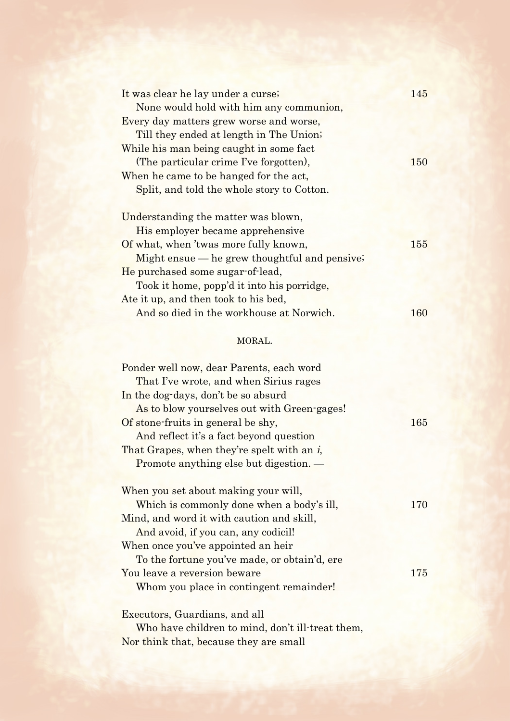| It was clear he lay under a curse;               | 145 |
|--------------------------------------------------|-----|
| None would hold with him any communion,          |     |
| Every day matters grew worse and worse,          |     |
| Till they ended at length in The Union;          |     |
| While his man being caught in some fact          |     |
| (The particular crime I've forgotten),           | 150 |
| When he came to be hanged for the act,           |     |
| Split, and told the whole story to Cotton.       |     |
|                                                  |     |
| Understanding the matter was blown,              |     |
| His employer became apprehensive                 |     |
| Of what, when 'twas more fully known,            | 155 |
| Might ensue — he grew thoughtful and pensive.    |     |
| He purchased some sugar-of-lead,                 |     |
| Took it home, popp'd it into his porridge,       |     |
| Ate it up, and then took to his bed,             |     |
| And so died in the workhouse at Norwich.         | 160 |
| MORAL.                                           |     |
| Ponder well now, dear Parents, each word         |     |
| That I've wrote, and when Sirius rages           |     |
| In the dog-days, don't be so absurd              |     |
| As to blow yourselves out with Green-gages!      |     |
| Of stone-fruits in general be shy,               | 165 |
| And reflect it's a fact beyond question          |     |
| That Grapes, when they're spelt with an i,       |     |
| Promote anything else but digestion. -           |     |
|                                                  |     |
| When you set about making your will,             |     |
| Which is commonly done when a body's ill,        | 170 |
| Mind, and word it with caution and skill,        |     |
| And avoid, if you can, any codicil!              |     |
| When once you've appointed an heir               |     |
| To the fortune you've made, or obtain'd, ere     |     |
| You leave a reversion beware                     | 175 |
| Whom you place in contingent remainder!          |     |
|                                                  |     |
| Executors, Guardians, and all                    |     |
| Who have children to mind, don't ill-treat them, |     |

Nor think that, because they are small